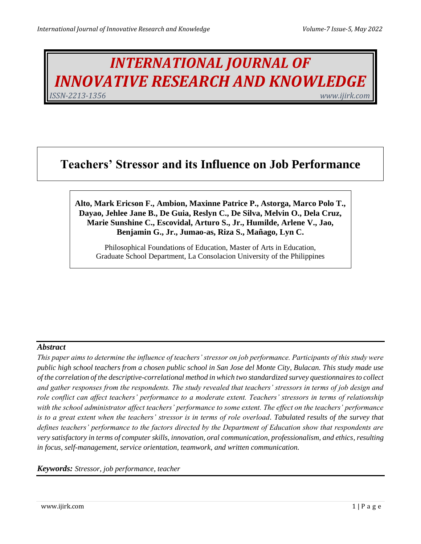# *INTERNATIONAL JOURNAL OF INNOVATIVE RESEARCH AND KNOWLEDGE ISSN-2213-1356 www.ijirk.com*

## **Teachers' Stressor and its Influence on Job Performance**

#### **Alto, Mark Ericson F., Ambion, Maxinne Patrice P., Astorga, Marco Polo T., Dayao, Jehlee Jane B., De Guia, Reslyn C., De Silva, Melvin O., Dela Cruz, Marie Sunshine C., Escovidal, Arturo S., Jr., Humilde, Arlene V., Jao, Benjamin G., Jr., Jumao-as, Riza S., Mañago, Lyn C.**

Philosophical Foundations of Education, Master of Arts in Education, Graduate School Department, La Consolacion University of the Philippines

#### *Abstract*

*This paper aims to determine the influence of teachers' stressor on job performance. Participants of this study were public high school teachers from a chosen public school in San Jose del Monte City, Bulacan. This study made use of the correlation of the descriptive-correlational method in which two standardized survey questionnaires to collect and gather responses from the respondents. The study revealed that teachers' stressors in terms of job design and role conflict can affect teachers' performance to a moderate extent. Teachers' stressors in terms of relationship with the school administrator affect teachers' performance to some extent. The effect on the teachers' performance*  is to a great extent when the teachers' stressor is in terms of role overload. Tabulated results of the survey that *defines teachers' performance to the factors directed by the Department of Education show that respondents are very satisfactory in terms of computer skills, innovation, oral communication, professionalism, and ethics, resulting in focus, self-management, service orientation, teamwork, and written communication.* 

*Keywords: Stressor, job performance, teacher*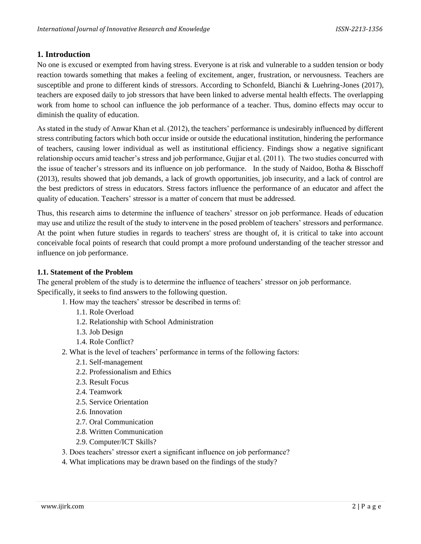#### **1. Introduction**

No one is excused or exempted from having stress. Everyone is at risk and vulnerable to a sudden tension or body reaction towards something that makes a feeling of excitement, anger, frustration, or nervousness. Teachers are susceptible and prone to different kinds of stressors. According to Schonfeld, Bianchi & Luehring-Jones (2017), teachers are exposed daily to job stressors that have been linked to adverse mental health effects. The overlapping work from home to school can influence the job performance of a teacher. Thus, domino effects may occur to diminish the quality of education.

As stated in the study of Anwar Khan et al. (2012), the teachers' performance is undesirably influenced by different stress contributing factors which both occur inside or outside the educational institution, hindering the performance of teachers, causing lower individual as well as institutional efficiency. Findings show a negative significant relationship occurs amid teacher's stress and job performance, Gujjar et al. (2011). The two studies concurred with the issue of teacher's stressors and its influence on job performance. In the study of Naidoo, Botha & Bisschoff (2013), results showed that job demands, a lack of growth opportunities, job insecurity, and a lack of control are the best predictors of stress in educators. Stress factors influence the performance of an educator and affect the quality of education. Teachers' stressor is a matter of concern that must be addressed.

Thus, this research aims to determine the influence of teachers' stressor on job performance. Heads of education may use and utilize the result of the study to intervene in the posed problem of teachers' stressors and performance. At the point when future studies in regards to teachers' stress are thought of, it is critical to take into account conceivable focal points of research that could prompt a more profound understanding of the teacher stressor and influence on job performance.

#### **1.1. Statement of the Problem**

The general problem of the study is to determine the influence of teachers' stressor on job performance. Specifically, it seeks to find answers to the following question.

- 1. How may the teachers' stressor be described in terms of:
	- 1.1. Role Overload
	- 1.2. Relationship with School Administration
	- 1.3. Job Design
	- 1.4. Role Conflict?
- 2. What is the level of teachers' performance in terms of the following factors:
	- 2.1. Self-management
	- 2.2. Professionalism and Ethics
	- 2.3. Result Focus
	- 2.4. Teamwork
	- 2.5. Service Orientation
	- 2.6. Innovation
	- 2.7. Oral Communication
	- 2.8. Written Communication
	- 2.9. Computer/ICT Skills?
- 3. Does teachers' stressor exert a significant influence on job performance?
- 4. What implications may be drawn based on the findings of the study?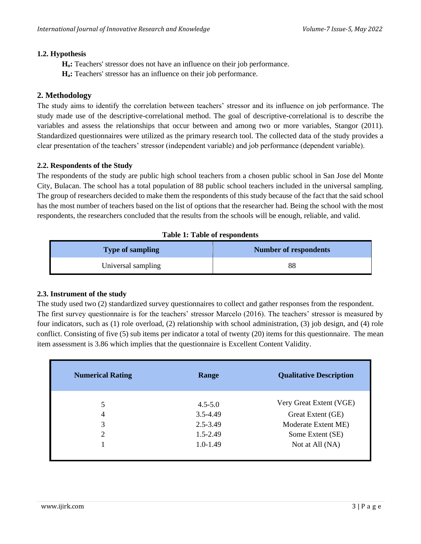#### **1.2. Hypothesis**

**Ho:** Teachers' stressor does not have an influence on their job performance.

**Ha:** Teachers' stressor has an influence on their job performance.

#### **2. Methodology**

The study aims to identify the correlation between teachers' stressor and its influence on job performance. The study made use of the descriptive-correlational method. The goal of descriptive-correlational is to describe the variables and assess the relationships that occur between and among two or more variables, Stangor (2011). Standardized questionnaires were utilized as the primary research tool. The collected data of the study provides a clear presentation of the teachers' stressor (independent variable) and job performance (dependent variable).

#### **2.2. Respondents of the Study**

The respondents of the study are public high school teachers from a chosen public school in San Jose del Monte City, Bulacan. The school has a total population of 88 public school teachers included in the universal sampling. The group of researchers decided to make them the respondents of this study because of the fact that the said school has the most number of teachers based on the list of options that the researcher had. Being the school with the most respondents, the researchers concluded that the results from the schools will be enough, reliable, and valid.

|  |  | <b>Table 1: Table of respondents</b> |  |
|--|--|--------------------------------------|--|
|--|--|--------------------------------------|--|

| <b>Type of sampling</b> | <b>Number of respondents</b> |
|-------------------------|------------------------------|
| Universal sampling      | 88                           |

#### **2.3. Instrument of the study**

The study used two (2) standardized survey questionnaires to collect and gather responses from the respondent. The first survey questionnaire is for the teachers' stressor Marcelo (2016). The teachers' stressor is measured by four indicators, such as (1) role overload, (2) relationship with school administration, (3) job design, and (4) role conflict. Consisting of five (5) sub items per indicator a total of twenty (20) items for this questionnaire. The mean item assessment is 3.86 which implies that the questionnaire is Excellent Content Validity.

| <b>Numerical Rating</b> | Range        | <b>Qualitative Description</b> |
|-------------------------|--------------|--------------------------------|
| 5                       | $4.5 - 5.0$  | Very Great Extent (VGE)        |
| 4                       | $3.5 - 4.49$ | Great Extent (GE)              |
| 3                       | 2.5-3.49     | Moderate Extent ME)            |
| 2                       | $1.5 - 2.49$ | Some Extent (SE)               |
|                         | $1.0 - 1.49$ | Not at All (NA)                |
|                         |              |                                |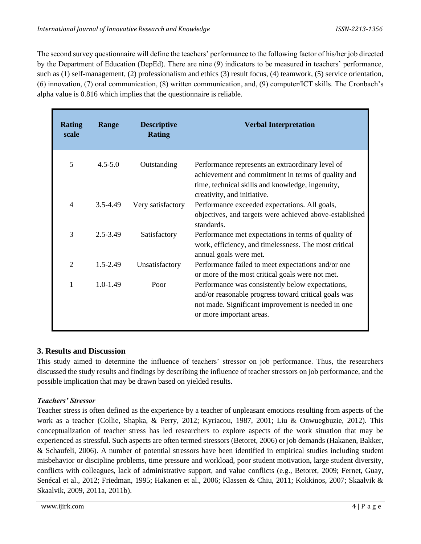The second survey questionnaire will define the teachers' performance to the following factor of his/her job directed by the Department of Education (DepEd). There are nine (9) indicators to be measured in teachers' performance, such as (1) self-management, (2) professionalism and ethics (3) result focus, (4) teamwork, (5) service orientation, (6) innovation, (7) oral communication, (8) written communication, and, (9) computer/ICT skills. The Cronbach's alpha value is 0.816 which implies that the questionnaire is reliable.

| <b>Rating</b><br>scale | Range        | <b>Descriptive</b><br><b>Rating</b> | <b>Verbal Interpretation</b>                                                                                                                                                               |
|------------------------|--------------|-------------------------------------|--------------------------------------------------------------------------------------------------------------------------------------------------------------------------------------------|
| 5                      | $4.5 - 5.0$  | Outstanding                         | Performance represents an extraordinary level of<br>achievement and commitment in terms of quality and<br>time, technical skills and knowledge, ingenuity,<br>creativity, and initiative.  |
| 4                      | 3.5-4.49     | Very satisfactory                   | Performance exceeded expectations. All goals,<br>objectives, and targets were achieved above-established<br>standards.                                                                     |
| 3                      | 2.5-3.49     | Satisfactory                        | Performance met expectations in terms of quality of<br>work, efficiency, and timelessness. The most critical<br>annual goals were met.                                                     |
| $\overline{2}$         | $1.5 - 2.49$ | Unsatisfactory                      | Performance failed to meet expectations and/or one<br>or more of the most critical goals were not met.                                                                                     |
| 1                      | $1.0 - 1.49$ | Poor                                | Performance was consistently below expectations,<br>and/or reasonable progress toward critical goals was<br>not made. Significant improvement is needed in one<br>or more important areas. |

#### **3. Results and Discussion**

This study aimed to determine the influence of teachers' stressor on job performance. Thus, the researchers discussed the study results and findings by describing the influence of teacher stressors on job performance, and the possible implication that may be drawn based on yielded results.

#### *Teachers' Stressor*

Teacher stress is often defined as the experience by a teacher of unpleasant emotions resulting from aspects of the work as a teacher (Collie, Shapka, & Perry, 2012; Kyriacou, 1987, 2001; Liu & Onwuegbuzie, 2012). This conceptualization of teacher stress has led researchers to explore aspects of the work situation that may be experienced as stressful. Such aspects are often termed stressors (Betoret, 2006) or job demands (Hakanen, Bakker, & Schaufeli, 2006). A number of potential stressors have been identified in empirical studies including student misbehavior or discipline problems, time pressure and workload, poor student motivation, large student diversity, conflicts with colleagues, lack of administrative support, and value conflicts (e.g., Betoret, 2009; Fernet, Guay, Senécal et al., 2012; Friedman, 1995; Hakanen et al., 2006; Klassen & Chiu, 2011; Kokkinos, 2007; Skaalvik & Skaalvik, 2009, 2011a, 2011b).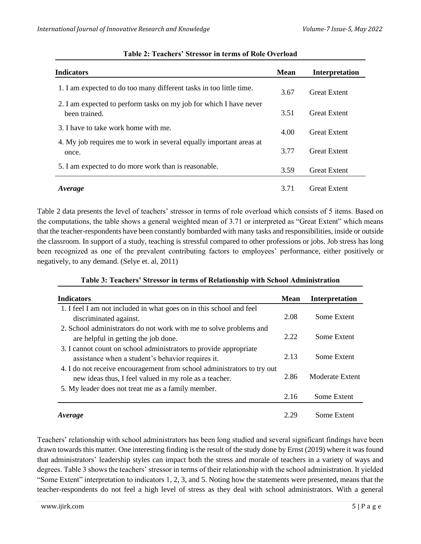| <b>Indicators</b>                                                                   | <b>Mean</b> | Interpretation      |
|-------------------------------------------------------------------------------------|-------------|---------------------|
| 1. I am expected to do too many different tasks in too little time.                 | 3.67        | <b>Great Extent</b> |
| 2. I am expected to perform tasks on my job for which I have never<br>been trained. | 3.51        | <b>Great Extent</b> |
| 3. I have to take work home with me.                                                | 4.00        | <b>Great Extent</b> |
| 4. My job requires me to work in several equally important areas at<br>once.        | 3.77        | <b>Great Extent</b> |
| 5. I am expected to do more work than is reasonable.                                | 3.59        | <b>Great Extent</b> |
| Average                                                                             | 3.71        | <b>Great Extent</b> |

#### **Table 2: Teachers' Stressor in terms of Role Overload**

Table 2 data presents the level of teachers' stressor in terms of role overload which consists of 5 items. Based on the computations, the table shows a general weighted mean of 3.71 or interpreted as "Great Extent" which means that the teacher-respondents have been constantly bombarded with many tasks and responsibilities, inside or outside the classroom. In support of a study, teaching is stressful compared to other professions or jobs. Job stress has long been recognized as one of the prevalent contributing factors to employees' performance, either positively or negatively, to any demand. (Selye et. al, 2011)

#### **Table 3: Teachers' Stressor in terms of Relationship with School Administration**

| <b>Indicators</b>                                                                                                                 | Mean | <b>Interpretation</b> |
|-----------------------------------------------------------------------------------------------------------------------------------|------|-----------------------|
| 1. I feel I am not included in what goes on in this school and feel                                                               |      |                       |
| discriminated against.                                                                                                            | 2.08 | Some Extent           |
| 2. School administrators do not work with me to solve problems and<br>are helpful in getting the job done.                        | 2.22 | Some Extent           |
| 3. I cannot count on school administrators to provide appropriate<br>assistance when a student's behavior requires it.            | 2.13 | Some Extent           |
| 4. I do not receive encouragement from school administrators to try out<br>new ideas thus, I feel valued in my role as a teacher. | 2.86 | Moderate Extent       |
| 5. My leader does not treat me as a family member.                                                                                | 2.16 | Some Extent           |
| Average                                                                                                                           | 2.29 | Some Extent           |

Teachers' relationship with school administrators has been long studied and several significant findings have been drawn towards this matter. One interesting finding is the result of the study done by Ernst (2019) where it was found that administrators' leadership styles can impact both the stress and morale of teachers in a variety of ways and degrees. Table 3 shows the teachers' stressor in terms of their relationship with the school administration. It yielded "Some Extent" interpretation to indicators 1, 2, 3, and 5. Noting how the statements were presented, means that the teacher-respondents do not feel a high level of stress as they deal with school administrators. With a general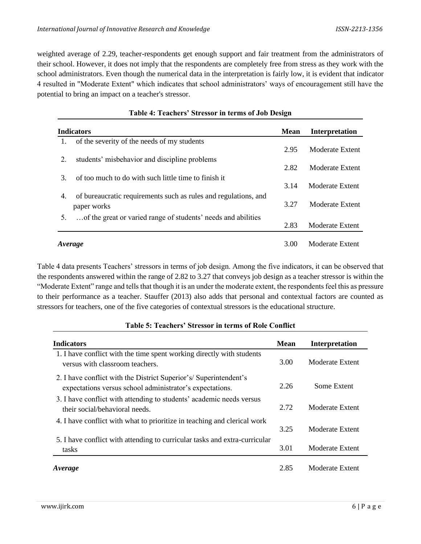weighted average of 2.29, teacher-respondents get enough support and fair treatment from the administrators of their school. However, it does not imply that the respondents are completely free from stress as they work with the school administrators. Even though the numerical data in the interpretation is fairly low, it is evident that indicator 4 resulted in "Moderate Extent" which indicates that school administrators' ways of encouragement still have the potential to bring an impact on a teacher's stressor.

| Moderate Extent<br>2.95 |
|-------------------------|
|                         |
|                         |
| 2.82<br>Moderate Extent |
| Moderate Extent         |
| Moderate Extent         |
| Moderate Extent         |
| 3.14<br>3.27<br>2.83    |

#### **Table 4: Teachers' Stressor in terms of Job Design**

Table 4 data presents Teachers' stressors in terms of job design. Among the five indicators, it can be observed that the respondents answered within the range of 2.82 to 3.27 that conveys job design as a teacher stressor is within the "Moderate Extent" range and tells that though it is an under the moderate extent, the respondents feel this as pressure to their performance as a teacher. Stauffer (2013) also adds that personal and contextual factors are counted as stressors for teachers, one of the five categories of contextual stressors is the educational structure.

| <b>Indicators</b>                                                                                                            | <b>Mean</b> | Interpretation         |
|------------------------------------------------------------------------------------------------------------------------------|-------------|------------------------|
| 1. I have conflict with the time spent working directly with students<br>versus with classroom teachers.                     | 3.00        | Moderate Extent        |
| 2. I have conflict with the District Superior's/Superintendent's<br>expectations versus school administrator's expectations. | 2.26        | Some Extent            |
| 3. I have conflict with attending to students' academic needs versus<br>their social/behavioral needs.                       | 2.72        | Moderate Extent        |
| 4. I have conflict with what to prioritize in teaching and clerical work                                                     | 3.25        | <b>Moderate Extent</b> |
| 5. I have conflict with attending to curricular tasks and extra-curricular<br>tasks                                          | 3.01        | Moderate Extent        |
| Average                                                                                                                      | 2.85        | Moderate Extent        |

#### **Table 5: Teachers' Stressor in terms of Role Conflict**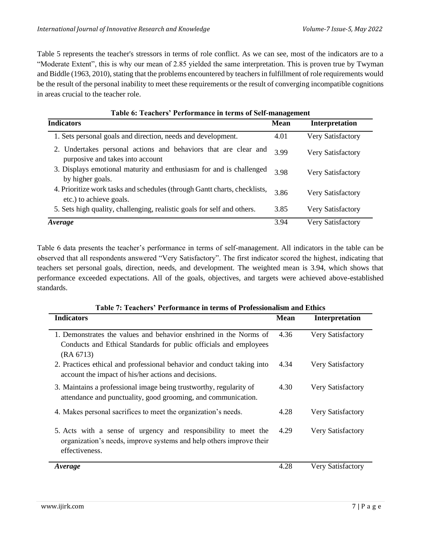Table 5 represents the teacher's stressors in terms of role conflict. As we can see, most of the indicators are to a "Moderate Extent", this is why our mean of 2.85 yielded the same interpretation. This is proven true by Twyman and Biddle (1963, 2010), stating that the problems encountered by teachers in fulfillment of role requirements would be the result of the personal inability to meet these requirements or the result of converging incompatible cognitions in areas crucial to the teacher role.

| Table 6: Teachers Teriormance in terms of Sen-management                                             |             |                          |  |  |
|------------------------------------------------------------------------------------------------------|-------------|--------------------------|--|--|
| <b>Indicators</b>                                                                                    | <b>Mean</b> | Interpretation           |  |  |
| 1. Sets personal goals and direction, needs and development.                                         | 4.01        | Very Satisfactory        |  |  |
| 2. Undertakes personal actions and behaviors that are clear and<br>purposive and takes into account  | 3.99        | Very Satisfactory        |  |  |
| 3. Displays emotional maturity and enthusiasm for and is challenged<br>by higher goals.              | 3.98        | Very Satisfactory        |  |  |
| 4. Prioritize work tasks and schedules (through Gantt charts, checklists,<br>etc.) to achieve goals. | 3.86        | Very Satisfactory        |  |  |
| 5. Sets high quality, challenging, realistic goals for self and others.                              | 3.85        | <b>Very Satisfactory</b> |  |  |
| <i><b>Average</b></i>                                                                                | 3.94        | Very Satisfactory        |  |  |

#### **Table 6: Teachers' Performance in terms of Self-management**

Table 6 data presents the teacher's performance in terms of self-management. All indicators in the table can be observed that all respondents answered "Very Satisfactory". The first indicator scored the highest, indicating that teachers set personal goals, direction, needs, and development. The weighted mean is 3.94, which shows that performance exceeded expectations. All of the goals, objectives, and targets were achieved above-established standards.

| Table 7: Teachers' Periormance in terms of Professionalism and Ethics                                                                                   |             |                          |  |
|---------------------------------------------------------------------------------------------------------------------------------------------------------|-------------|--------------------------|--|
| <b>Indicators</b>                                                                                                                                       | <b>Mean</b> | Interpretation           |  |
| 1. Demonstrates the values and behavior enshrined in the Norms of<br>Conducts and Ethical Standards for public officials and employees<br>(RA 6713)     | 4.36        | <b>Very Satisfactory</b> |  |
| 2. Practices ethical and professional behavior and conduct taking into<br>account the impact of his/her actions and decisions.                          | 4.34        | Very Satisfactory        |  |
| 3. Maintains a professional image being trustworthy, regularity of<br>attendance and punctuality, good grooming, and communication.                     | 4.30        | Very Satisfactory        |  |
| 4. Makes personal sacrifices to meet the organization's needs.                                                                                          | 4.28        | Very Satisfactory        |  |
| 5. Acts with a sense of urgency and responsibility to meet the<br>organization's needs, improve systems and help others improve their<br>effectiveness. | 4.29        | Very Satisfactory        |  |
| Average                                                                                                                                                 | 4.28        | Very Satisfactory        |  |

### **Table 7: Teachers' Performance in terms of Professionalism and Ethics**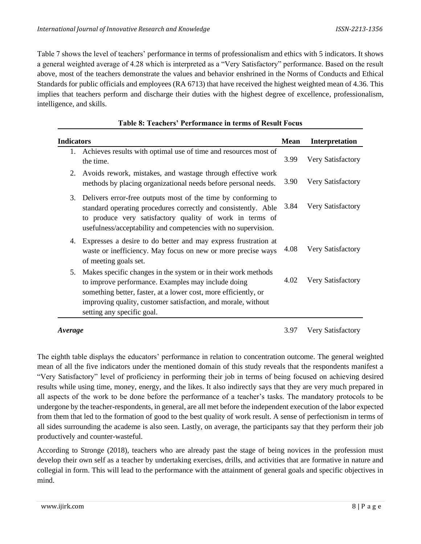Table 7 shows the level of teachers' performance in terms of professionalism and ethics with 5 indicators. It shows a general weighted average of 4.28 which is interpreted as a "Very Satisfactory" performance. Based on the result above, most of the teachers demonstrate the values and behavior enshrined in the Norms of Conducts and Ethical Standards for public officials and employees (RA 6713) that have received the highest weighted mean of 4.36. This implies that teachers perform and discharge their duties with the highest degree of excellence, professionalism, intelligence, and skills.

| <b>Indicators</b>                                                                                                                                                                                                                                                                           | <b>Mean</b> | Interpretation    |
|---------------------------------------------------------------------------------------------------------------------------------------------------------------------------------------------------------------------------------------------------------------------------------------------|-------------|-------------------|
| Achieves results with optimal use of time and resources most of<br>Ι.<br>the time.                                                                                                                                                                                                          | 3.99        | Very Satisfactory |
| Avoids rework, mistakes, and wastage through effective work<br>2.<br>methods by placing organizational needs before personal needs.                                                                                                                                                         | 3.90        | Very Satisfactory |
| 3.<br>Delivers error-free outputs most of the time by conforming to<br>standard operating procedures correctly and consistently. Able<br>to produce very satisfactory quality of work in terms of<br>usefulness/acceptability and competencies with no supervision.                         | 3.84        | Very Satisfactory |
| Expresses a desire to do better and may express frustration at<br>4.<br>waste or inefficiency. May focus on new or more precise ways<br>of meeting goals set.                                                                                                                               | 4.08        | Very Satisfactory |
| Makes specific changes in the system or in their work methods<br>5.<br>to improve performance. Examples may include doing<br>something better, faster, at a lower cost, more efficiently, or<br>improving quality, customer satisfaction, and morale, without<br>setting any specific goal. | 4.02        | Very Satisfactory |

#### **Table 8: Teachers' Performance in terms of Result Focus**

*Average* 3.97 Very Satisfactory

The eighth table displays the educators' performance in relation to concentration outcome. The general weighted mean of all the five indicators under the mentioned domain of this study reveals that the respondents manifest a "Very Satisfactory" level of proficiency in performing their job in terms of being focused on achieving desired results while using time, money, energy, and the likes. It also indirectly says that they are very much prepared in all aspects of the work to be done before the performance of a teacher's tasks. The mandatory protocols to be undergone by the teacher-respondents, in general, are all met before the independent execution of the labor expected from them that led to the formation of good to the best quality of work result. A sense of perfectionism in terms of all sides surrounding the academe is also seen. Lastly, on average, the participants say that they perform their job productively and counter-wasteful.

According to Stronge (2018), teachers who are already past the stage of being novices in the profession must develop their own self as a teacher by undertaking exercises, drills, and activities that are formative in nature and collegial in form. This will lead to the performance with the attainment of general goals and specific objectives in mind.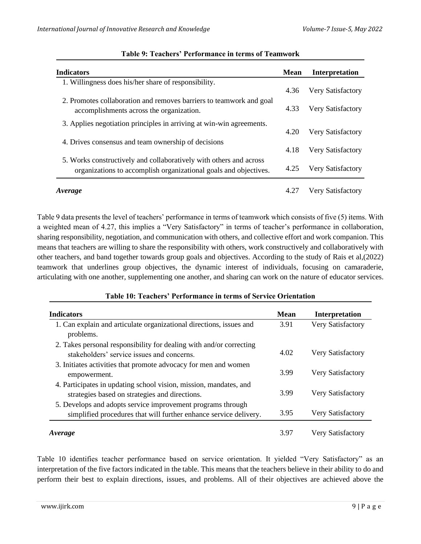| <b>Indicators</b>                                                                                                                      | <b>Mean</b> | Interpretation           |
|----------------------------------------------------------------------------------------------------------------------------------------|-------------|--------------------------|
| 1. Willingness does his/her share of responsibility.                                                                                   | 4.36        | <b>Very Satisfactory</b> |
| 2. Promotes collaboration and removes barriers to teamwork and goal<br>accomplishments across the organization.                        | 4.33        | Very Satisfactory        |
| 3. Applies negotiation principles in arriving at win-win agreements.                                                                   | 4.20        | Very Satisfactory        |
| 4. Drives consensus and team ownership of decisions                                                                                    | 4.18        | Very Satisfactory        |
| 5. Works constructively and collaboratively with others and across<br>organizations to accomplish organizational goals and objectives. | 4.25        | Very Satisfactory        |
| Average                                                                                                                                |             | Very Satisfactory        |

#### **Table 9: Teachers' Performance in terms of Teamwork**

Table 9 data presents the level of teachers' performance in terms of teamwork which consists of five (5) items. With a weighted mean of 4.27, this implies a "Very Satisfactory" in terms of teacher's performance in collaboration, sharing responsibility, negotiation, and communication with others, and collective effort and work companion. This means that teachers are willing to share the responsibility with others, work constructively and collaboratively with other teachers, and band together towards group goals and objectives. According to the study of Rais et al,(2022) teamwork that underlines group objectives, the dynamic interest of individuals, focusing on camaraderie, articulating with one another, supplementing one another, and sharing can work on the nature of educator services.

#### **Table 10: Teachers' Performance in terms of Service Orientation**

| <b>Indicators</b>                                                                                                                | Mean | Interpretation           |
|----------------------------------------------------------------------------------------------------------------------------------|------|--------------------------|
| 1. Can explain and articulate organizational directions, issues and<br>problems.                                                 | 3.91 | <b>Very Satisfactory</b> |
| 2. Takes personal responsibility for dealing with and/or correcting<br>stakeholders' service issues and concerns.                | 4.02 | Very Satisfactory        |
| 3. Initiates activities that promote advocacy for men and women<br>empowerment.                                                  | 3.99 | Very Satisfactory        |
| 4. Participates in updating school vision, mission, mandates, and<br>strategies based on strategies and directions.              | 3.99 | Very Satisfactory        |
| 5. Develops and adopts service improvement programs through<br>simplified procedures that will further enhance service delivery. | 3.95 | Very Satisfactory        |
| Average                                                                                                                          | 3.97 | <b>Very Satisfactory</b> |

Table 10 identifies teacher performance based on service orientation. It yielded "Very Satisfactory" as an interpretation of the five factors indicated in the table. This means that the teachers believe in their ability to do and perform their best to explain directions, issues, and problems. All of their objectives are achieved above the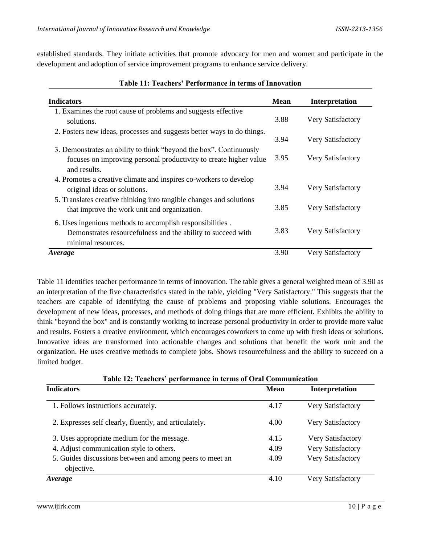established standards. They initiate activities that promote advocacy for men and women and participate in the development and adoption of service improvement programs to enhance service delivery.

| Indicators                                                             | <b>Mean</b> | Interpretation           |
|------------------------------------------------------------------------|-------------|--------------------------|
| 1. Examines the root cause of problems and suggests effective          |             |                          |
| solutions.                                                             | 3.88        | Very Satisfactory        |
| 2. Fosters new ideas, processes and suggests better ways to do things. |             |                          |
|                                                                        | 3.94        | Very Satisfactory        |
| 3. Demonstrates an ability to think "beyond the box". Continuously     |             |                          |
| focuses on improving personal productivity to create higher value      | 3.95        | <b>Very Satisfactory</b> |
| and results.                                                           |             |                          |
| 4. Promotes a creative climate and inspires co-workers to develop      |             |                          |
| original ideas or solutions.                                           | 3.94        | Very Satisfactory        |
| 5. Translates creative thinking into tangible changes and solutions    |             |                          |
| that improve the work unit and organization.                           | 3.85        | Very Satisfactory        |
| 6. Uses ingenious methods to accomplish responsibilities.              |             |                          |
| Demonstrates resourcefulness and the ability to succeed with           | 3.83        | Very Satisfactory        |
|                                                                        |             |                          |
| minimal resources.                                                     |             |                          |
| <i><b>Average</b></i>                                                  | 3.90        | Very Satisfactory        |

#### **Table 11: Teachers' Performance in terms of Innovation**

Table 11 identifies teacher performance in terms of innovation. The table gives a general weighted mean of 3.90 as an interpretation of the five characteristics stated in the table, yielding "Very Satisfactory." This suggests that the teachers are capable of identifying the cause of problems and proposing viable solutions. Encourages the development of new ideas, processes, and methods of doing things that are more efficient. Exhibits the ability to think "beyond the box" and is constantly working to increase personal productivity in order to provide more value and results. Fosters a creative environment, which encourages coworkers to come up with fresh ideas or solutions. Innovative ideas are transformed into actionable changes and solutions that benefit the work unit and the organization. He uses creative methods to complete jobs. Shows resourcefulness and the ability to succeed on a limited budget.

| <b>Indicators</b>                                                      | <b>Mean</b> | <b>Interpretation</b>    |
|------------------------------------------------------------------------|-------------|--------------------------|
| 1. Follows instructions accurately.                                    | 4.17        | Very Satisfactory        |
| 2. Expresses self clearly, fluently, and articulately.                 | 4.00        | Very Satisfactory        |
| 3. Uses appropriate medium for the message.                            | 4.15        | <b>Very Satisfactory</b> |
| 4. Adjust communication style to others.                               | 4.09        | <b>Very Satisfactory</b> |
| 5. Guides discussions between and among peers to meet an<br>objective. | 4.09        | Very Satisfactory        |
| <i><b>Average</b></i>                                                  | 4.10        | <b>Very Satisfactory</b> |

**Table 12: Teachers' performance in terms of Oral Communication**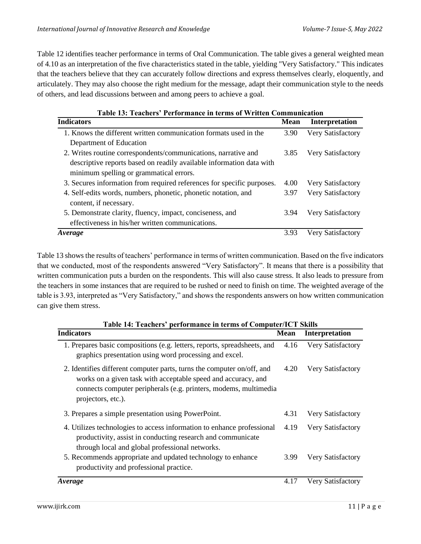Table 12 identifies teacher performance in terms of Oral Communication. The table gives a general weighted mean of 4.10 as an interpretation of the five characteristics stated in the table, yielding "Very Satisfactory." This indicates that the teachers believe that they can accurately follow directions and express themselves clearly, eloquently, and articulately. They may also choose the right medium for the message, adapt their communication style to the needs of others, and lead discussions between and among peers to achieve a goal.

| Table 13: Teachers' Performance in terms of Written Communication      |             |                          |  |
|------------------------------------------------------------------------|-------------|--------------------------|--|
| <b>Indicators</b>                                                      | <b>Mean</b> | <b>Interpretation</b>    |  |
| 1. Knows the different written communication formats used in the       | 3.90        | <b>Very Satisfactory</b> |  |
| Department of Education                                                |             |                          |  |
| 2. Writes routine correspondents/communications, narrative and         | 3.85        | Very Satisfactory        |  |
| descriptive reports based on readily available information data with   |             |                          |  |
| minimum spelling or grammatical errors.                                |             |                          |  |
| 3. Secures information from required references for specific purposes. | 4.00        | Very Satisfactory        |  |
| 4. Self-edits words, numbers, phonetic, phonetic notation, and         | 3.97        | Very Satisfactory        |  |
| content, if necessary.                                                 |             |                          |  |
| 5. Demonstrate clarity, fluency, impact, conciseness, and              | 3.94        | Very Satisfactory        |  |
| effectiveness in his/her written communications.                       |             |                          |  |
| <i>Average</i>                                                         | 3.93        | Very Satisfactory        |  |

Table 13 shows the results of teachers' performance in terms of written communication. Based on the five indicators that we conducted, most of the respondents answered "Very Satisfactory". It means that there is a possibility that written communication puts a burden on the respondents. This will also cause stress. It also leads to pressure from the teachers in some instances that are required to be rushed or need to finish on time. The weighted average of the table is 3.93, interpreted as "Very Satisfactory," and shows the respondents answers on how written communication can give them stress.

| Table 14: Teachers' performance in terms of Computer/ICT Skills                                                                                                                                                                   |             |                   |  |
|-----------------------------------------------------------------------------------------------------------------------------------------------------------------------------------------------------------------------------------|-------------|-------------------|--|
| <b>Indicators</b>                                                                                                                                                                                                                 | <b>Mean</b> | Interpretation    |  |
| 1. Prepares basic compositions (e.g. letters, reports, spreadsheets, and<br>graphics presentation using word processing and excel.                                                                                                | 4.16        | Very Satisfactory |  |
| 2. Identifies different computer parts, turns the computer on/off, and<br>works on a given task with acceptable speed and accuracy, and<br>connects computer peripherals (e.g. printers, modems, multimedia<br>projectors, etc.). | 4.20        | Very Satisfactory |  |
| 3. Prepares a simple presentation using PowerPoint.                                                                                                                                                                               | 4.31        | Very Satisfactory |  |
| 4. Utilizes technologies to access information to enhance professional<br>productivity, assist in conducting research and communicate<br>through local and global professional networks.                                          | 4.19        | Very Satisfactory |  |
| 5. Recommends appropriate and updated technology to enhance<br>productivity and professional practice.                                                                                                                            | 3.99        | Very Satisfactory |  |
| <i><b>Average</b></i>                                                                                                                                                                                                             | 4.17        | Very Satisfactory |  |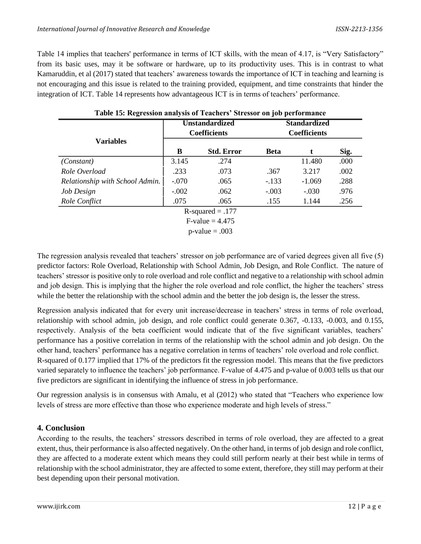Table 14 implies that teachers' performance in terms of ICT skills, with the mean of 4.17, is "Very Satisfactory" from its basic uses, may it be software or hardware, up to its productivity uses. This is in contrast to what Kamaruddin, et al (2017) stated that teachers' awareness towards the importance of ICT in teaching and learning is not encouraging and this issue is related to the training provided, equipment, and time constraints that hinder the integration of ICT. Table 14 represents how advantageous ICT is in terms of teachers' performance.

|                                 | <b>Table 19. INEXTESSION analysis of Featules</b> Bulessof on job performance<br><b>Unstandardized</b><br><b>Coefficients</b> |                   | <b>Standardized</b><br><b>Coefficients</b> |          |      |
|---------------------------------|-------------------------------------------------------------------------------------------------------------------------------|-------------------|--------------------------------------------|----------|------|
| <b>Variables</b>                | В                                                                                                                             | <b>Std. Error</b> | <b>Beta</b>                                |          | Sig. |
| (Constant)                      | 3.145                                                                                                                         | .274              |                                            | 11.480   | .000 |
| Role Overload                   | .233                                                                                                                          | .073              | .367                                       | 3.217    | .002 |
| Relationship with School Admin. | $-.070$                                                                                                                       | .065              | $-.133$                                    | $-1.069$ | .288 |
| Job Design                      | $-.002$                                                                                                                       | .062              | $-.003$                                    | $-.030$  | .976 |
| Role Conflict                   | .075                                                                                                                          | .065              | .155                                       | 1.144    | .256 |
| $R$ -squared = .177             |                                                                                                                               |                   |                                            |          |      |
| $F-value = 4.475$               |                                                                                                                               |                   |                                            |          |      |
|                                 |                                                                                                                               | $p-value = .003$  |                                            |          |      |

**Table 15: Regression analysis of Teachers' Stressor on job performance**

The regression analysis revealed that teachers' stressor on job performance are of varied degrees given all five (5) predictor factors: Role Overload, Relationship with School Admin, Job Design, and Role Conflict. The nature of teachers' stressor is positive only to role overload and role conflict and negative to a relationship with school admin and job design. This is implying that the higher the role overload and role conflict, the higher the teachers' stress while the better the relationship with the school admin and the better the job design is, the lesser the stress.

Regression analysis indicated that for every unit increase/decrease in teachers' stress in terms of role overload, relationship with school admin, job design, and role conflict could generate 0.367, -0.133, -0.003, and 0.155, respectively. Analysis of the beta coefficient would indicate that of the five significant variables, teachers' performance has a positive correlation in terms of the relationship with the school admin and job design. On the other hand, teachers' performance has a negative correlation in terms of teachers' role overload and role conflict. R-squared of 0.177 implied that 17% of the predictors fit the regression model. This means that the five predictors varied separately to influence the teachers' job performance. F-value of 4.475 and p-value of 0.003 tells us that our five predictors are significant in identifying the influence of stress in job performance.

Our regression analysis is in consensus with Amalu, et al (2012) who stated that "Teachers who experience low levels of stress are more effective than those who experience moderate and high levels of stress."

#### **4. Conclusion**

According to the results, the teachers' stressors described in terms of role overload, they are affected to a great extent, thus, their performance is also affected negatively. On the other hand, in terms of job design and role conflict, they are affected to a moderate extent which means they could still perform nearly at their best while in terms of relationship with the school administrator, they are affected to some extent, therefore, they still may perform at their best depending upon their personal motivation.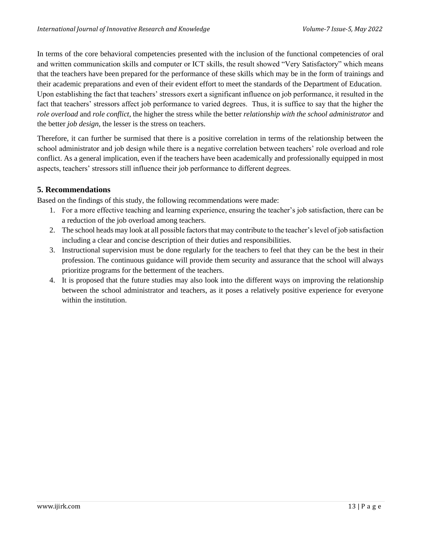In terms of the core behavioral competencies presented with the inclusion of the functional competencies of oral and written communication skills and computer or ICT skills, the result showed "Very Satisfactory" which means that the teachers have been prepared for the performance of these skills which may be in the form of trainings and their academic preparations and even of their evident effort to meet the standards of the Department of Education. Upon establishing the fact that teachers' stressors exert a significant influence on job performance, it resulted in the fact that teachers' stressors affect job performance to varied degrees. Thus, it is suffice to say that the higher the *role overload* and *role conflict*, the higher the stress while the better *relationship with the school administrator* and the better *job design*, the lesser is the stress on teachers.

Therefore, it can further be surmised that there is a positive correlation in terms of the relationship between the school administrator and job design while there is a negative correlation between teachers' role overload and role conflict. As a general implication, even if the teachers have been academically and professionally equipped in most aspects, teachers' stressors still influence their job performance to different degrees.

#### **5. Recommendations**

Based on the findings of this study, the following recommendations were made:

- 1. For a more effective teaching and learning experience, ensuring the teacher's job satisfaction, there can be a reduction of the job overload among teachers.
- 2. The school heads may look at all possible factors that may contribute to the teacher's level of job satisfaction including a clear and concise description of their duties and responsibilities.
- 3. Instructional supervision must be done regularly for the teachers to feel that they can be the best in their profession. The continuous guidance will provide them security and assurance that the school will always prioritize programs for the betterment of the teachers.
- 4. It is proposed that the future studies may also look into the different ways on improving the relationship between the school administrator and teachers, as it poses a relatively positive experience for everyone within the institution.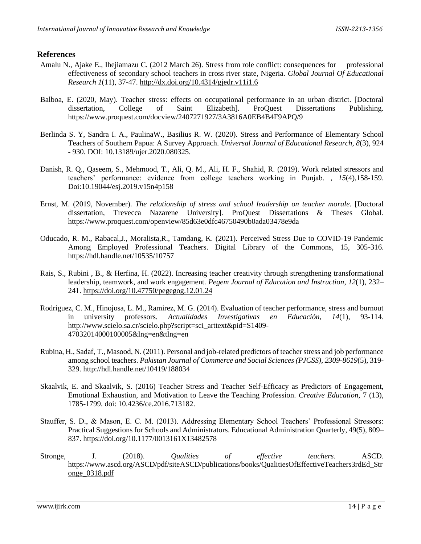#### **References**

- Amalu N., Ajake E., Ihejiamazu C. (2012 March 26). Stress from role conflict: consequences for professional effectiveness of secondary school teachers in cross river state, Nigeria. *Global Journal Of Educational Research 1*(11), 37-47[.](http://dx.doi.org/10.4314/gjedr.v11i1.6) <http://dx.doi.org/10.4314/gjedr.v11i1.6>
- Balboa, E. (2020, May). Teacher stress: effects on occupational performance in an urban district. [Doctoral dissertation, College of Saint Elizabeth]. ProQuest Dissertations Publishing[.](https://www.proquest.com/docview/2407271927/3A3816A0EB4B4F9APQ/9) <https://www.proquest.com/docview/2407271927/3A3816A0EB4B4F9APQ/9>
- Berlinda S. Y, Sandra I. A., PaulinaW., Basilius R. W. (2020). Stress and Performance of Elementary School Teachers of Southern Papua: A Survey Approach. *Universal Journal of Educational Research, 8*(3), 924 - 930. DOI: 10.13189/ujer.2020.080325.
- Danish, R. Q., Qaseem, S., Mehmood, T., Ali, Q. M., Ali, H. F., Shahid, R. (2019). Work related stressors and teachers' performance: evidence from college teachers working in Punjab. *, 15*(4),158-159. Doi:10.19044/esj.2019.v15n4p158
- Ernst, M. (2019, November). *The relationship of stress and school leadership on teacher morale.* [Doctoral dissertation, Trevecca Nazarene University]. ProQuest Dissertations & Theses Global[.](https://www.proquest.com/openview/85d63e0dfc46750490b0ada03478e9da) <https://www.proquest.com/openview/85d63e0dfc46750490b0ada03478e9da>
- Oducado, R. M., Rabacal,J., Moralista,R., Tamdang, K. (2021). Perceived Stress Due to COVID-19 Pandemic Among Employed Professional Teachers. Digital Library of the Commons, 15, 305-316[.](https://hdl.handle.net/10535/10757) <https://hdl.handle.net/10535/10757>
- Rais, S., Rubini , B., & Herfina, H. (2022). Increasing teacher creativity through strengthening transformational leadership, teamwork, and work engagement. *Pegem Journal of Education and Instruction*, *12*(1), 232– 241.<https://doi.org/10.47750/pegegog.12.01.24>
- Rodriguez, C. M., Hinojosa, L. M., Ramirez, M. G. (2014). Evaluation of teacher performance, stress and burnout in university professors. *Actualidades Investigativas en Educación*, *14*(1), 93-114[.](http://www.scielo.sa.cr/scielo.php?script=sci_arttext&pid=S1409-47032014000100005&lng=en&tlng=en) [http://www.scielo.sa.cr/scielo.php?script=sci\\_arttext&pid=S1409-](http://www.scielo.sa.cr/scielo.php?script=sci_arttext&pid=S1409-47032014000100005&lng=en&tlng=en) [47032014000100005&lng=en&tlng=en](http://www.scielo.sa.cr/scielo.php?script=sci_arttext&pid=S1409-47032014000100005&lng=en&tlng=en)
- Rubina, H., Sadaf, T., Masood, N. (2011). Personal and job-related predictors of teacher stress and job performance among school teachers. *Pakistan Journal of Commerce and Social Sciences (PJCSS), 2309-8619*(5), 319- 329. <http://hdl.handle.net/10419/188034>
- Skaalvik, E. and Skaalvik, S. (2016) Teacher Stress and Teacher Self-Efficacy as Predictors of Engagement, Emotional Exhaustion, and Motivation to Leave the Teaching Profession. *Creative Education*, 7 (13), 1785-1799. doi[:](http://dx.doi.org/10.4236/ce.2016.713182) [10.4236/ce.2016.713182.](http://dx.doi.org/10.4236/ce.2016.713182)
- Stauffer, S. D., & Mason, E. C. M. (2013). Addressing Elementary School Teachers' Professional Stressors: Practical Suggestions for Schools and Administrators. Educational Administration Quarterly, 49(5), 809– 837. https://doi.org/10.1177/0013161X13482578
- Stronge, J. (2018). *Qualities of effective teachers*. ASCD. [https://www.ascd.org/ASCD/pdf/siteASCD/publications/books/QualitiesOfEffectiveTeachers3rdEd\\_Str](https://www.ascd.org/ASCD/pdf/siteASCD/publications/books/QualitiesOfEffectiveTeachers3rdEd_Stronge_0318.pdf) [onge\\_0318.pdf](https://www.ascd.org/ASCD/pdf/siteASCD/publications/books/QualitiesOfEffectiveTeachers3rdEd_Stronge_0318.pdf)